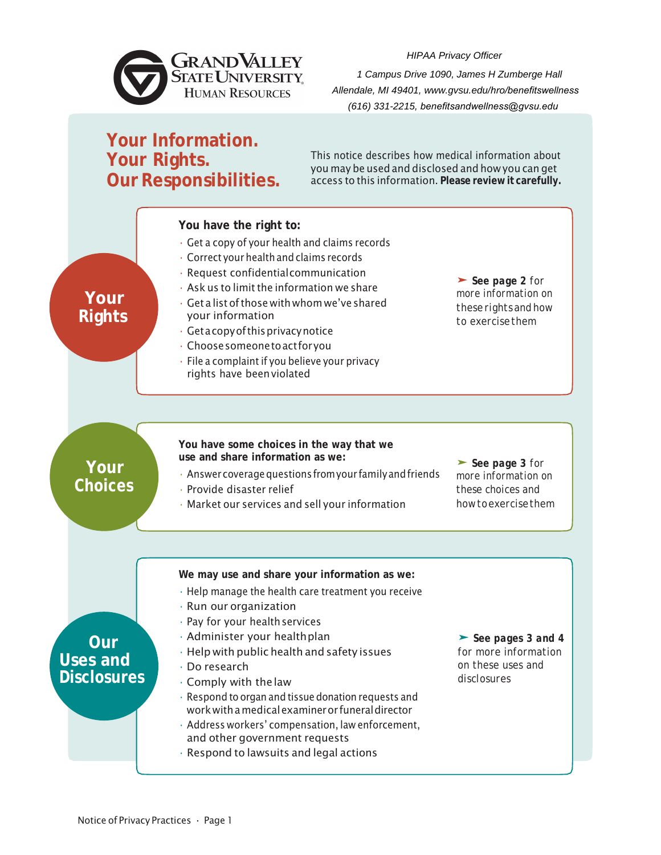

 *HIPAA Privacy Officer 1 Campus Drive 1090, James H Zumberge Hall Allendale, MI 49401, www.gvsu.edu/hro/benefitswellness (616) 331-2215, benefitsandwellness@gvsu.edu*

## **Your Information. Your Rights. Our Responsibilities.**

This notice describes how medical information about you may be used and disclosed and how you can get access to this information. **Please reviewit carefully.**

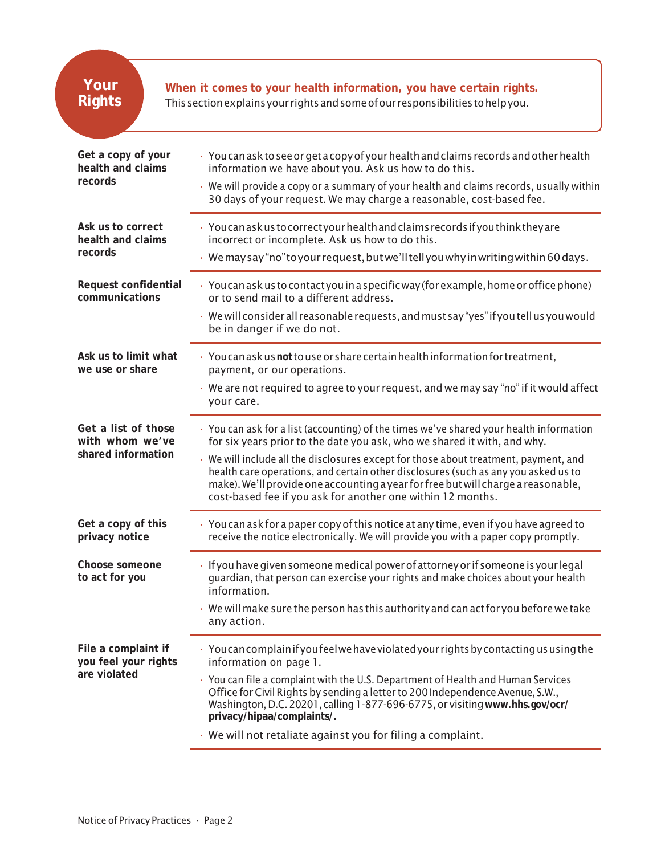| Your          |
|---------------|
| <u>Rights</u> |

## **When it comes to your health information, you have certain rights.** This sectionexplainsyour rightsandsomeofour responsibilitiestohelpyou.

| Get a copy of your<br>health and claims<br>records           | $\cdot$ You can ask to see or get a copy of your health and claims records and other health<br>information we have about you. Ask us how to do this.<br>We will provide a copy or a summary of your health and claims records, usually within<br>30 days of your request. We may charge a reasonable, cost-based fee.                                                                                                                                                                                       |
|--------------------------------------------------------------|-------------------------------------------------------------------------------------------------------------------------------------------------------------------------------------------------------------------------------------------------------------------------------------------------------------------------------------------------------------------------------------------------------------------------------------------------------------------------------------------------------------|
| Ask us to correct<br>health and claims<br>records            | · You can ask us to correct your health and claims records if you think they are<br>incorrect or incomplete. Ask us how to do this.<br>· We may say "no" to your request, but we'll tell you why in writing within 60 days.                                                                                                                                                                                                                                                                                 |
| Request confidential<br>communications                       | · You can ask us to contact you in a specific way (for example, home or office phone)<br>or to send mail to a different address.<br>· We will consider all reasonable requests, and must say "yes" if you tell us you would<br>be in danger if we do not.                                                                                                                                                                                                                                                   |
| Ask us to limit what<br>we use or share                      | · You can ask us not to use or share certain health information for treatment,<br>payment, or our operations.<br>· We are not required to agree to your request, and we may say "no" if it would affect<br>your care.                                                                                                                                                                                                                                                                                       |
| Get a list of those<br>with whom we've<br>shared information | $\cdot$ You can ask for a list (accounting) of the times we've shared your health information<br>for six years prior to the date you ask, who we shared it with, and why.<br>· We will include all the disclosures except for those about treatment, payment, and<br>health care operations, and certain other disclosures (such as any you asked us to<br>make). We'll provide one accounting a year for free but will charge a reasonable,<br>cost-based fee if you ask for another one within 12 months. |
| Get a copy of this<br>privacy notice                         | $\cdot$ You can ask for a paper copy of this notice at any time, even if you have agreed to<br>receive the notice electronically. We will provide you with a paper copy promptly.                                                                                                                                                                                                                                                                                                                           |
| Choose someone<br>to act for you                             | If you have given someone medical power of attorney or if someone is your legal<br>guardian, that person can exercise your rights and make choices about your health<br>information.<br>$\cdot$ We will make sure the person has this authority and can act for you before we take<br>any action.                                                                                                                                                                                                           |
| File a complaint if<br>you feel your rights<br>are violated  | · You can complain if you feel we have violated your rights by contacting us using the<br>information on page 1.<br>You can file a complaint with the U.S. Department of Health and Human Services<br>Office for Civil Rights by sending a letter to 200 Independence Avenue, S.W.,<br>Washington, D.C. 20201, calling 1-877-696-6775, or visiting www.hhs.gov/ocr/<br>privacy/hipaa/complaints/.<br>$\cdot$ We will not retaliate against you for filing a complaint.                                      |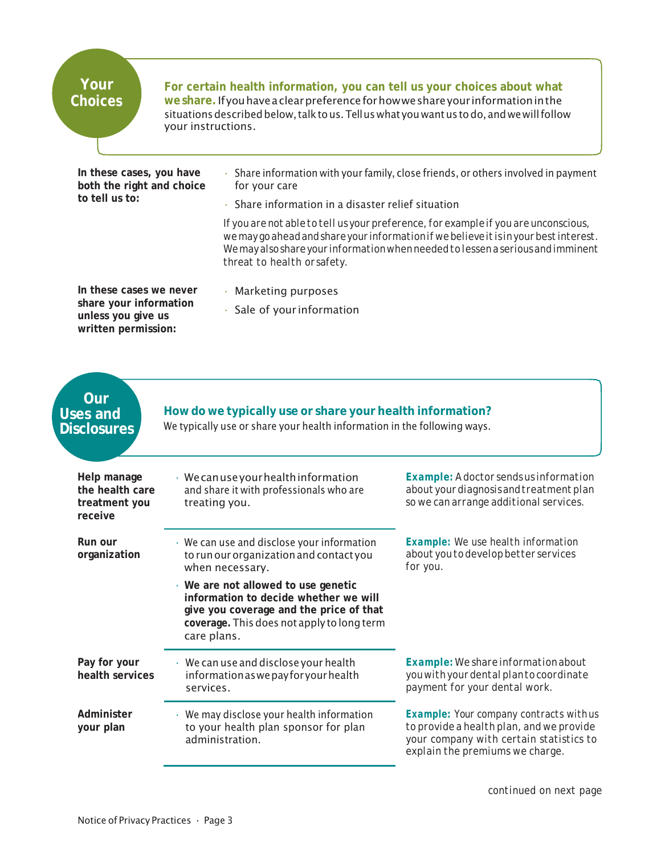| Your<br><b>Choices</b>                                                  | your instructions. | For certain health information, you can tell us your choices about what<br>we share. If you have a clear preference for how we share your information in the                                                                                                                                   | situations described below, talk to us. Tell us what you want us to do, and we will follow                                  |  |
|-------------------------------------------------------------------------|--------------------|------------------------------------------------------------------------------------------------------------------------------------------------------------------------------------------------------------------------------------------------------------------------------------------------|-----------------------------------------------------------------------------------------------------------------------------|--|
| In these cases, you have<br>both the right and choice<br>to tell us to: |                    | Share information with your family, close friends, or others involved in payment<br>for your care                                                                                                                                                                                              |                                                                                                                             |  |
|                                                                         |                    | Share information in a disaster relief situation                                                                                                                                                                                                                                               |                                                                                                                             |  |
|                                                                         |                    | If you are not able to tell us your preference, for example if you are unconscious,<br>we may go ahead and share your information if we believe it is in your best interest.<br>We may also share your information when needed to lessen a serious and imminent<br>threat to health or safety. |                                                                                                                             |  |
| In these cases we never                                                 |                    | · Marketing purposes                                                                                                                                                                                                                                                                           |                                                                                                                             |  |
| share your information<br>unless you give us<br>written permission:     |                    | Sale of your information                                                                                                                                                                                                                                                                       |                                                                                                                             |  |
| Our<br><b>Uses and</b><br><b>Disclosures</b>                            |                    | How do we typically use or share your health information?<br>We typically use or share your health information in the following ways.                                                                                                                                                          |                                                                                                                             |  |
| Help manage<br>the health care<br>treatment you<br>receive              | treating you.      | · We can use your health information<br>and share it with professionals who are                                                                                                                                                                                                                | Example: A doctor sends us information<br>about your diagnosis and treatment plan<br>so we can arrange additional services. |  |
| Run our<br>organization                                                 |                    | • We can use and disclose your information<br>to run our organization and contactyou<br>when necessary.                                                                                                                                                                                        | Example: We use health information<br>about you to develop better services<br>for you.                                      |  |
|                                                                         | care plans.        | · We are not allowed to use genetic<br>information to decide whether we will<br>give you coverage and the price of that<br>coverage. This does not apply to long term                                                                                                                          |                                                                                                                             |  |
| Pay for your<br>health services                                         | services.          | · We can use and disclose your health<br>information as we pay for your health                                                                                                                                                                                                                 | Example: We share information about<br>you with your dental plan to coordinate<br>payment for your dental work.             |  |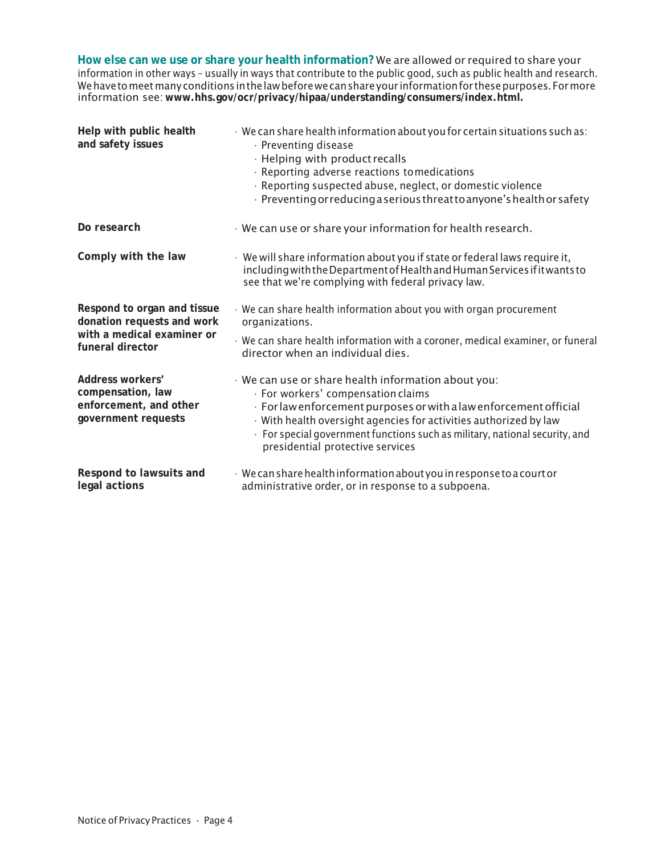**How else can we use or share your health information?** We are allowed or required to share your information in other ways – usually in ways that contribute to the public good, such as public health and research. Wehavetomeetmany conditions inthelawbeforewecanshareyour informationfor thesepurposes.Formore information see: **[www.hhs.gov/ocr/privacy/hipaa/understanding/consumers/index.html.](http://www.hhs.gov/ocr/privacy/hipaa/understanding/consumers/index.html)**

| Help with public health<br>and safety issues                                                                | · We can share health information about you for certain situations such as:<br>· Preventing disease<br>· Helping with product recalls<br>· Reporting adverse reactions tomedications<br>· Reporting suspected abuse, neglect, or domestic violence<br>· Preventing or reducing a serious threat to anyone's health or safety                           |
|-------------------------------------------------------------------------------------------------------------|--------------------------------------------------------------------------------------------------------------------------------------------------------------------------------------------------------------------------------------------------------------------------------------------------------------------------------------------------------|
| Do research                                                                                                 | · We can use or share your information for health research.                                                                                                                                                                                                                                                                                            |
| Comply with the law                                                                                         | · We will share information about you if state or federal laws require it,<br>including with the Department of Health and Human Services if it wants to<br>see that we're complying with federal privacy law.                                                                                                                                          |
| Respond to organ and tissue<br>donation requests and work<br>with a medical examiner or<br>funeral director | · We can share health information about you with organ procurement<br>organizations.<br>We can share health information with a coroner, medical examiner, or funeral<br>director when an individual dies.                                                                                                                                              |
| Address workers'<br>compensation, law<br>enforcement, and other<br>government requests                      | · We can use or share health information about you:<br>· For workers' compensation claims<br>· For law enforcement purposes or with a law enforcement official<br>· With health oversight agencies for activities authorized by law<br>· For special government functions such as military, national security, and<br>presidential protective services |
| Respond to lawsuits and<br>legal actions                                                                    | · We can share health information about you in response to a court or<br>administrative order, or in response to a subpoena.                                                                                                                                                                                                                           |
|                                                                                                             |                                                                                                                                                                                                                                                                                                                                                        |